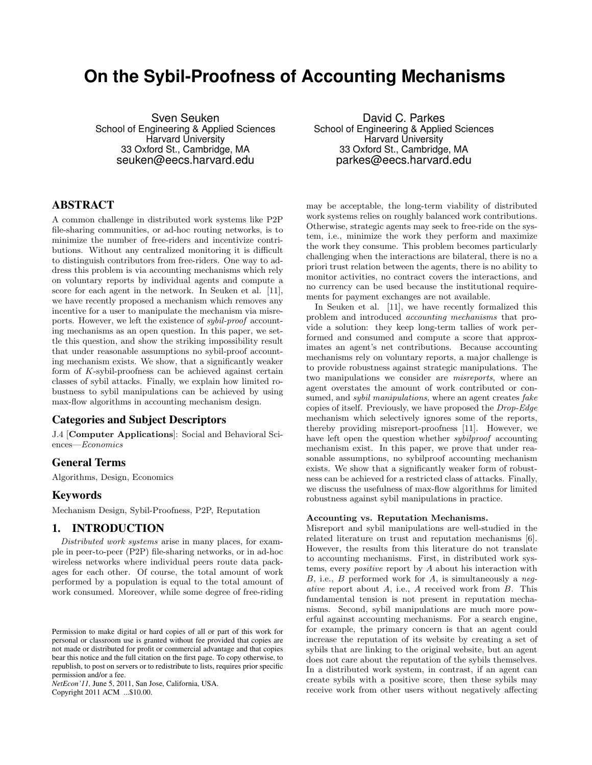# **On the Sybil-Proofness of Accounting Mechanisms**

Sven Seuken School of Engineering & Applied Sciences Harvard University 33 Oxford St., Cambridge, MA seuken@eecs.harvard.edu

# ABSTRACT

A common challenge in distributed work systems like P2P file-sharing communities, or ad-hoc routing networks, is to minimize the number of free-riders and incentivize contributions. Without any centralized monitoring it is difficult to distinguish contributors from free-riders. One way to address this problem is via accounting mechanisms which rely on voluntary reports by individual agents and compute a score for each agent in the network. In Seuken et al. [11], we have recently proposed a mechanism which removes any incentive for a user to manipulate the mechanism via misreports. However, we left the existence of *sybil-proof* accounting mechanisms as an open question. In this paper, we settle this question, and show the striking impossibility result that under reasonable assumptions no sybil-proof accounting mechanism exists. We show, that a significantly weaker form of *K*-sybil-proofness can be achieved against certain classes of sybil attacks. Finally, we explain how limited robustness to sybil manipulations can be achieved by using max-flow algorithms in accounting mechanism design.

# Categories and Subject Descriptors

J.4 [**Computer Applications**]: Social and Behavioral Sciences—*Economics*

## General Terms

Algorithms, Design, Economics

#### Keywords

Mechanism Design, Sybil-Proofness, P2P, Reputation

## 1. INTRODUCTION

*Distributed work systems* arise in many places, for example in peer-to-peer (P2P) file-sharing networks, or in ad-hoc wireless networks where individual peers route data packages for each other. Of course, the total amount of work performed by a population is equal to the total amount of work consumed. Moreover, while some degree of free-riding

*NetEcon'11,* June 5, 2011, San Jose, California, USA. Copyright 2011 ACM ...\$10.00.

David C. Parkes School of Engineering & Applied Sciences Harvard University 33 Oxford St., Cambridge, MA parkes@eecs.harvard.edu

may be acceptable, the long-term viability of distributed work systems relies on roughly balanced work contributions. Otherwise, strategic agents may seek to free-ride on the system, i.e., minimize the work they perform and maximize the work they consume. This problem becomes particularly challenging when the interactions are bilateral, there is no a priori trust relation between the agents, there is no ability to monitor activities, no contract covers the interactions, and no currency can be used because the institutional requirements for payment exchanges are not available.

In Seuken et al. [11], we have recently formalized this problem and introduced *accounting mechanisms* that provide a solution: they keep long-term tallies of work performed and consumed and compute a score that approximates an agent's net contributions. Because accounting mechanisms rely on voluntary reports, a major challenge is to provide robustness against strategic manipulations. The two manipulations we consider are *misreports*, where an agent overstates the amount of work contributed or consumed, and *sybil manipulations*, where an agent creates *fake* copies of itself. Previously, we have proposed the *Drop-Edge* mechanism which selectively ignores some of the reports, thereby providing misreport-proofness [11]. However, we have left open the question whether *sybilproof* accounting mechanism exist. In this paper, we prove that under reasonable assumptions, no sybilproof accounting mechanism exists. We show that a significantly weaker form of robustness can be achieved for a restricted class of attacks. Finally, we discuss the usefulness of max-flow algorithms for limited robustness against sybil manipulations in practice.

#### **Accounting vs. Reputation Mechanisms.**

Misreport and sybil manipulations are well-studied in the related literature on trust and reputation mechanisms [6]. However, the results from this literature do not translate to accounting mechanisms. First, in distributed work systems, every *positive* report by *A* about his interaction with *B*, i.e., *B* performed work for *A*, is simultaneously a *negative* report about *A*, i.e., *A* received work from *B*. This fundamental tension is not present in reputation mechanisms. Second, sybil manipulations are much more powerful against accounting mechanisms. For a search engine, for example, the primary concern is that an agent could increase the reputation of its website by creating a set of sybils that are linking to the original website, but an agent does not care about the reputation of the sybils themselves. In a distributed work system, in contrast, if an agent can create sybils with a positive score, then these sybils may receive work from other users without negatively affecting

Permission to make digital or hard copies of all or part of this work for personal or classroom use is granted without fee provided that copies are not made or distributed for profit or commercial advantage and that copies bear this notice and the full citation on the first page. To copy otherwise, to republish, to post on servers or to redistribute to lists, requires prior specific permission and/or a fee.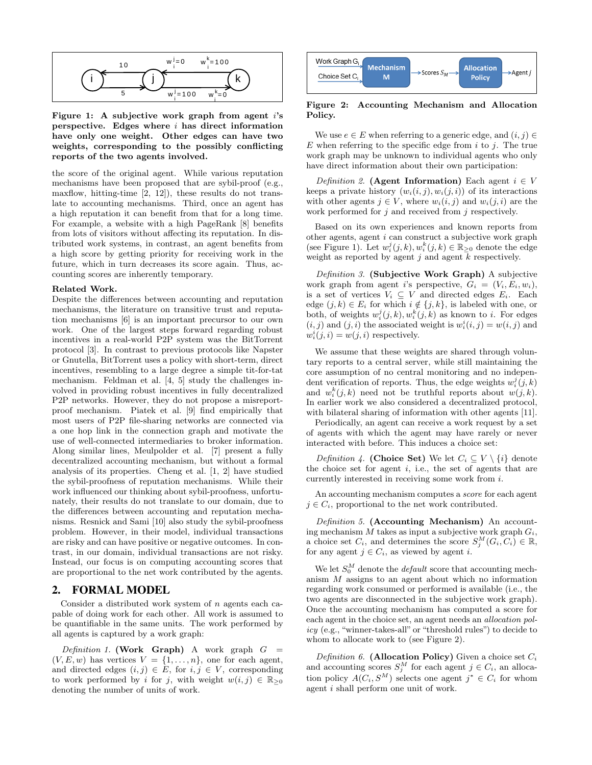

**Figure 1: A subjective work graph from agent** *i***'s perspective. Edges where** *i* **has direct information have only one weight. Other edges can have two weights, corresponding to the possibly conflicting reports of the two agents involved.**

the score of the original agent. While various reputation mechanisms have been proposed that are sybil-proof (e.g., maxflow, hitting-time [2, 12]), these results do not translate to accounting mechanisms. Third, once an agent has a high reputation it can benefit from that for a long time. For example, a website with a high PageRank [8] benefits from lots of visitors without affecting its reputation. In distributed work systems, in contrast, an agent benefits from a high score by getting priority for receiving work in the future, which in turn decreases its score again. Thus, accounting scores are inherently temporary.

#### **Related Work.**

Despite the differences between accounting and reputation mechanisms, the literature on transitive trust and reputation mechanisms [6] is an important precursor to our own work. One of the largest steps forward regarding robust incentives in a real-world P2P system was the BitTorrent protocol [3]. In contrast to previous protocols like Napster or Gnutella, BitTorrent uses a policy with short-term, direct incentives, resembling to a large degree a simple tit-for-tat mechanism. Feldman et al. [4, 5] study the challenges involved in providing robust incentives in fully decentralized P2P networks. However, they do not propose a misreportproof mechanism. Piatek et al. [9] find empirically that most users of P2P file-sharing networks are connected via a one hop link in the connection graph and motivate the use of well-connected intermediaries to broker information. Along similar lines, Meulpolder et al. [7] present a fully decentralized accounting mechanism, but without a formal analysis of its properties. Cheng et al. [1, 2] have studied the sybil-proofness of reputation mechanisms. While their work influenced our thinking about sybil-proofness, unfortunately, their results do not translate to our domain, due to the differences between accounting and reputation mechanisms. Resnick and Sami [10] also study the sybil-proofness problem. However, in their model, individual transactions are risky and can have positive or negative outcomes. In contrast, in our domain, individual transactions are not risky. Instead, our focus is on computing accounting scores that are proportional to the net work contributed by the agents.

## 2. FORMAL MODEL

Consider a distributed work system of *n* agents each capable of doing work for each other. All work is assumed to be quantifiable in the same units. The work performed by all agents is captured by a work graph:

*Definition 1.* **(Work Graph)** A work graph  $G =$  $(V, E, w)$  has vertices  $V = \{1, \ldots, n\}$ , one for each agent, and directed edges  $(i, j) \in E$ , for  $i, j \in V$ , corresponding to work performed by *i* for *j*, with weight  $w(i, j) \in \mathbb{R}_{\geq 0}$ denoting the number of units of work.



**Figure 2: Accounting Mechanism and Allocation Policy.**

We use  $e \in E$  when referring to a generic edge, and  $(i, j) \in$ *E* when referring to the specific edge from *i* to *j*. The true work graph may be unknown to individual agents who only have direct information about their own participation:

*Definition 2.* **(Agent Information)** Each agent  $i \in V$ keeps a private history  $(w_i(i, j), w_i(j, i))$  of its interactions with other agents  $j \in V$ , where  $w_i(i, j)$  and  $w_i(j, i)$  are the work performed for *j* and received from *j* respectively.

Based on its own experiences and known reports from other agents, agent *i* can construct a subjective work graph (see Figure 1). Let  $w_i^j(j, k), w_i^k(j, k) \in \mathbb{R}_{\geq 0}$  denote the edge weight as reported by agent *j* and agent *k* respectively.

*Definition 3.* **(Subjective Work Graph)** A subjective work graph from agent *i*'s perspective,  $G_i = (V_i, E_i, w_i)$ , is a set of vertices  $V_i \subseteq V$  and directed edges  $E_i$ . Each edge  $(j, k) \in E_i$  for which  $i \notin \{j, k\}$ , is labeled with one, or both, of weights  $w_i^j(j,k), w_i^k(j,k)$  as known to *i*. For edges  $(i, j)$  and  $(j, i)$  the associated weight is  $w_i^i(i, j) = w(i, j)$  and  $w_i^i(j, i) = w(j, i)$  respectively.

We assume that these weights are shared through voluntary reports to a central server, while still maintaining the core assumption of no central monitoring and no independent verification of reports. Thus, the edge weights  $w_i^j(j, k)$ and  $w_i^k(j,k)$  need not be truthful reports about  $w(j,k)$ . In earlier work we also considered a decentralized protocol, with bilateral sharing of information with other agents [11].

Periodically, an agent can receive a work request by a set of agents with which the agent may have rarely or never interacted with before. This induces a choice set:

*Definition 4.* **(Choice Set)** We let  $C_i \subseteq V \setminus \{i\}$  denote the choice set for agent *i*, i.e., the set of agents that are currently interested in receiving some work from *i*.

An accounting mechanism computes a *score* for each agent  $j \in C_i$ , proportional to the net work contributed.

*Definition 5.* **(Accounting Mechanism)** An accounting mechanism *M* takes as input a subjective work graph *Gi*, a choice set  $C_i$ , and determines the score  $S_j^M(G_i, C_i) \in \mathbb{R}$ , for any agent  $j \in C_i$ , as viewed by agent *i*.

We let  $S_0^M$  denote the *default* score that accounting mechanism *M* assigns to an agent about which no information regarding work consumed or performed is available (i.e., the two agents are disconnected in the subjective work graph). Once the accounting mechanism has computed a score for each agent in the choice set, an agent needs an *allocation policy* (e.g., "winner-takes-all" or "threshold rules") to decide to whom to allocate work to (see Figure 2).

*Definition 6.* **(Allocation Policy)** Given a choice set *C<sup>i</sup>* and accounting scores  $S_j^M$  for each agent  $j \in C_i$ , an allocation policy  $A(C_i, S^M)$  selects one agent  $j^* \in C_i$  for whom agent *i* shall perform one unit of work.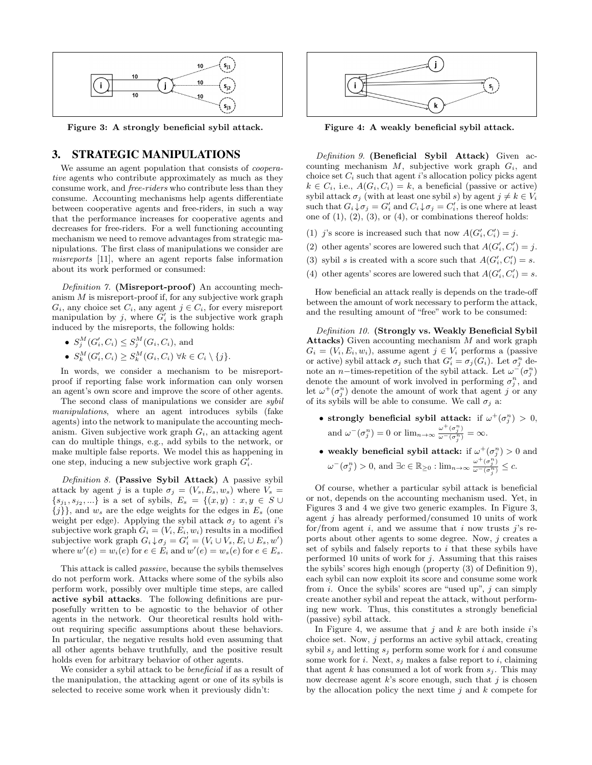

**Figure 3: A strongly beneficial sybil attack.**

### 3. STRATEGIC MANIPULATIONS

We assume an agent population that consists of *cooperative* agents who contribute approximately as much as they consume work, and *free-riders* who contribute less than they consume. Accounting mechanisms help agents differentiate between cooperative agents and free-riders, in such a way that the performance increases for cooperative agents and decreases for free-riders. For a well functioning accounting mechanism we need to remove advantages from strategic manipulations. The first class of manipulations we consider are *misreports* [11], where an agent reports false information about its work performed or consumed:

*Definition 7.* **(Misreport-proof)** An accounting mechanism *M* is misreport-proof if, for any subjective work graph  $G_i$ , any choice set  $C_i$ , any agent  $j \in C_i$ , for every misreport manipulation by  $j$ , where  $G'_{i}$  is the subjective work graph induced by the misreports, the following holds:

- $S_j^M(G'_i, C_i) \leq S_j^M(G_i, C_i)$ , and
- $S_k^M(G'_i, C_i) \geq S_k^M(G_i, C_i) \ \forall k \in C_i \setminus \{j\}.$

In words, we consider a mechanism to be misreportproof if reporting false work information can only worsen an agent's own score and improve the score of other agents.

The second class of manipulations we consider are *sybil manipulations*, where an agent introduces sybils (fake agents) into the network to manipulate the accounting mechanism. Given subjective work graph *Gi*, an attacking agent can do multiple things, e.g., add sybils to the network, or make multiple false reports. We model this as happening in one step, inducing a new subjective work graph *G ′ i* .

*Definition 8.* **(Passive Sybil Attack)** A passive sybil attack by agent *j* is a tuple  $\sigma_j = (V_s, E_s, w_s)$  where  $V_s$  ${s_{j_1}, s_{j_2}, ...}$  is a set of sybils,  $E_s = \{(x, y) : x, y \in S \cup \}$  ${j}$ }, and  $w_s$  are the edge weights for the edges in  $E_s$  (one weight per edge). Applying the sybil attack  $\sigma_j$  to agent *i*'s subjective work graph  $G_i = (V_i, E_i, w_i)$  results in a modified subjective work graph  $G_i \downarrow \sigma_j = G'_i = (V_i \cup V_s, E_i \cup E_s, w')$ where  $w'(e) = w_i(e)$  for  $e \in E_i$  and  $w'(e) = w_s(e)$  for  $e \in E_s$ .

This attack is called *passive*, because the sybils themselves do not perform work. Attacks where some of the sybils also perform work, possibly over multiple time steps, are called **active sybil attacks**. The following definitions are purposefully written to be agnostic to the behavior of other agents in the network. Our theoretical results hold without requiring specific assumptions about these behaviors. In particular, the negative results hold even assuming that all other agents behave truthfully, and the positive result holds even for arbitrary behavior of other agents.

We consider a sybil attack to be *beneficial* if as a result of the manipulation, the attacking agent or one of its sybils is selected to receive some work when it previously didn't:



**Figure 4: A weakly beneficial sybil attack.**

*Definition 9.* **(Beneficial Sybil Attack)** Given accounting mechanism *M*, subjective work graph *Gi*, and choice set  $C_i$  such that agent *i*'s allocation policy picks agent  $k \in C_i$ , i.e.,  $A(G_i, C_i) = k$ , a beneficial (passive or active) sybil attack  $\sigma_j$  (with at least one sybil *s*) by agent  $j \neq k \in V_i$ such that  $G_i \downarrow \sigma_j = G'_i$  and  $C_i \downarrow \sigma_j = C'_i$ , is one where at least one of  $(1)$ ,  $(2)$ ,  $(3)$ , or  $(4)$ , or combinations thereof holds:

- (1) *j*'s score is increased such that now  $A(G'_{i}, C'_{i}) = j$ .
- (2) other agents' scores are lowered such that  $A(G'_{i}, C'_{i}) = j$ .
- (3) sybil *s* is created with a score such that  $A(G'_{i}, C'_{i}) = s$ .
- (4) other agents' scores are lowered such that  $A(G'_{i}, C'_{i}) = s$ .

How beneficial an attack really is depends on the trade-off between the amount of work necessary to perform the attack, and the resulting amount of "free" work to be consumed:

*Definition 10.* **(Strongly vs. Weakly Beneficial Sybil Attacks)** Given accounting mechanism *M* and work graph  $G_i = (V_i, E_i, w_i)$ , assume agent  $j \in V_i$  performs a (passive or active) sybil attack  $\sigma_j$  such that  $G'_i = \sigma_j(G_i)$ . Let  $\sigma_j^n$  denote an *n*−times-repetition of the sybil attack. Let  $\omega$ <sup>-</sup>( $\sigma_j^n$ ) denote the amount of work involved in performing  $\sigma_j^n$ , and let  $\omega^+(\sigma_j^n)$  denote the amount of work that agent *j* or any of its sybils will be able to consume. We call  $\sigma_i$  a:

- **strongly beneficial sybil attack:** if  $\omega^+(\sigma_j^n) > 0$ , and  $\omega^{-}(\sigma_j^n) = 0$  or  $\lim_{n \to \infty} \frac{\omega^{+}(\sigma_j^n)}{\omega^{-}(\sigma_j^n)} = \infty$ .
- weakly beneficial sybil attack: if  $\omega^+(\sigma_j^n) > 0$  and  $\omega^-(\sigma^n_j) > 0$ , and  $\exists c \in \mathbb{R}_{\geq 0} : \lim_{n \to \infty} \frac{\omega^+(\sigma^n_j)}{\omega^-(\sigma^n_j)} \leq c$ .

Of course, whether a particular sybil attack is beneficial or not, depends on the accounting mechanism used. Yet, in Figures 3 and 4 we give two generic examples. In Figure 3, agent *j* has already performed/consumed 10 units of work for/from agent *i*, and we assume that *i* now trusts *j*'s reports about other agents to some degree. Now, *j* creates a set of sybils and falsely reports to *i* that these sybils have performed 10 units of work for *j*. Assuming that this raises the sybils' scores high enough (property (3) of Definition 9), each sybil can now exploit its score and consume some work from *i*. Once the sybils' scores are "used up", *j* can simply create another sybil and repeat the attack, without performing new work. Thus, this constitutes a strongly beneficial (passive) sybil attack.

In Figure 4, we assume that *j* and *k* are both inside *i*'s choice set. Now, *j* performs an active sybil attack, creating sybil *s<sup>j</sup>* and letting *s<sup>j</sup>* perform some work for *i* and consume some work for *i*. Next, *s<sup>j</sup>* makes a false report to *i*, claiming that agent  $k$  has consumed a lot of work from  $s_j$ . This may now decrease agent *k*'s score enough, such that *j* is chosen by the allocation policy the next time *j* and *k* compete for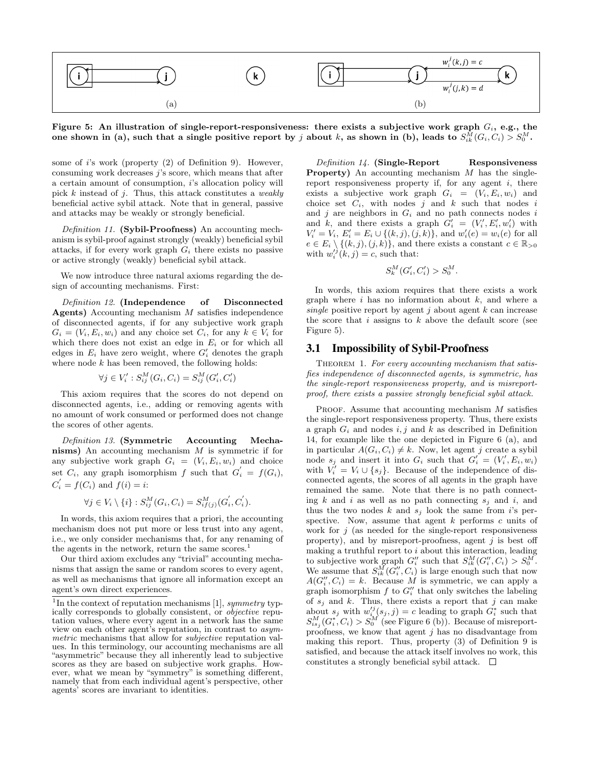

**Figure 5: An illustration of single-report-responsiveness: there exists a subjective work graph** *Gi***, e.g., the**  $\mathbf{S}^M = \mathbf{S}^M \mathbf{S}$  (a), such that a single positive report by  $j$  about  $k$ , as shown in (b), leads to  $S^M_{ik}(G_i, C_i) > S^M_0$ .

some of *i*'s work (property (2) of Definition 9). However, consuming work decreases *j*'s score, which means that after a certain amount of consumption, *i*'s allocation policy will pick *k* instead of *j*. Thus, this attack constitutes a *weakly* beneficial active sybil attack. Note that in general, passive and attacks may be weakly or strongly beneficial.

*Definition 11.* **(Sybil-Proofness)** An accounting mechanism is sybil-proof against strongly (weakly) beneficial sybil attacks, if for every work graph  $G_i$  there exists no passive or active strongly (weakly) beneficial sybil attack.

We now introduce three natural axioms regarding the design of accounting mechanisms. First:

*Definition 12.* **(Independence of Disconnected Agents)** Accounting mechanism *M* satisfies independence of disconnected agents, if for any subjective work graph  $G_i = (V_i, E_i, w_i)$  and any choice set  $C_i$ , for any  $k \in V_i$  for which there does not exist an edge in  $E_i$  or for which all edges in  $E_i$  have zero weight, where  $G'_i$  denotes the graph where node *k* has been removed, the following holds:

$$
\forall j \in V_i' : S_{ij}^M(G_i, C_i) = S_{ij}^M(G_i', C_i')
$$

This axiom requires that the scores do not depend on disconnected agents, i.e., adding or removing agents with no amount of work consumed or performed does not change the scores of other agents.

*Definition 13.* **(Symmetric Accounting Mechanisms)** An accounting mechanism *M* is symmetric if for any subjective work graph  $G_i = (V_i, E_i, w_i)$  and choice set  $C_i$ , any graph isomorphism  $f$  such that  $G'_i = f(G_i)$ ,  $C_i' = f(C_i)$  and  $f(i) = i$ :

$$
\forall j \in V_i \setminus \{i\} : S_{ij}^M(G_i, C_i) = S_{ij}^M(j) (G_i^{'}, C_i^{'}).
$$

In words, this axiom requires that a priori, the accounting mechanism does not put more or less trust into any agent, i.e., we only consider mechanisms that, for any renaming of the agents in the network, return the same scores.<sup>1</sup>

Our third axiom excludes any "trivial" accounting mechanisms that assign the same or random scores to every agent, as well as mechanisms that ignore all information except an agent's own direct experiences.

*Definition 14.* **(Single-Report Responsiveness Property)** An accounting mechanism *M* has the singlereport responsiveness property if, for any agent *i*, there exists a subjective work graph  $G_i = (V_i, E_i, w_i)$  and choice set  $C_i$ , with nodes *j* and *k* such that nodes *i* and *j* are neighbors in *G<sup>i</sup>* and no path connects nodes *i* and *k*, and there exists a graph  $G'_{i} = (V'_{i}, E'_{i}, w'_{i})$  with  $V'_{i} = V_{i}, E'_{i} = E_{i} \cup \{(k, j), (j, k)\},$  and  $w'_{i}(e) = w_{i}(e)$  for all  $e \in E_i \setminus \{(k, j), (j, k)\}\$ , and there exists a constant  $c \in \mathbb{R}_{>0}$ with  $w_i^j(k, j) = c$ , such that:

$$
S_k^M(G'_i, C'_i) > S_0^M.
$$

In words, this axiom requires that there exists a work graph where *i* has no information about *k*, and where a *single* positive report by agent *j* about agent *k* can increase the score that *i* assigns to *k* above the default score (see Figure 5).

#### 3.1 Impossibility of Sybil-Proofness

THEOREM 1. For every accounting mechanism that satis*fies independence of disconnected agents, is symmetric, has the single-report responsiveness property, and is misreportproof, there exists a passive strongly beneficial sybil attack.*

PROOF. Assume that accounting mechanism M satisfies the single-report responsiveness property. Thus, there exists a graph  $G_i$  and nodes  $i, j$  and  $k$  as described in Definition 14, for example like the one depicted in Figure 6 (a), and in particular  $A(G_i, C_i) \neq k$ . Now, let agent *j* create a sybil node  $s_j$  and insert it into  $G_i$  such that  $G'_i = (V'_i, E_i, w_i)$ with  $V_i' = V_i \cup \{s_j\}$ . Because of the independence of disconnected agents, the scores of all agents in the graph have remained the same. Note that there is no path connecting *k* and *i* as well as no path connecting *s<sup>j</sup>* and *i*, and thus the two nodes  $k$  and  $s_j$  look the same from  $i$ 's perspective. Now, assume that agent *k* performs *c* units of work for  $j$  (as needed for the single-report responsiveness property), and by misreport-proofness, agent *j* is best off making a truthful report to *i* about this interaction, leading to subjective work graph  $G_i''$  such that  $S_{ik}^M(G_i'', C_i) > S_0^M$ . We assume that  $S_{ik}^M(G_i'', C_i)$  is large enough such that now  $A(G''_i, C_i) = k$ . Because *M* is symmetric, we can apply a graph isomorphism  $f$  to  $G''_i$  that only switches the labeling of  $s_j$  and  $k$ . Thus, there exists a report that  $j$  can make about  $s_j$  with  $w_i'^j(s_j, j) = c$  leading to graph  $G_i^*$  such that  $S_{is_j}^M(G_i^*, C_i) > S_0^M$  (see Figure 6 (b)). Because of misreportproofness, we know that agent *j* has no disadvantage from making this report. Thus, property (3) of Definition 9 is satisfied, and because the attack itself involves no work, this constitutes a strongly beneficial sybil attack.  $\Box$ 

<sup>&</sup>lt;sup>1</sup>In the context of reputation mechanisms [1], *symmetry* typically corresponds to globally consistent, or *objective* reputation values, where every agent in a network has the same view on each other agent's reputation, in contrast to *asymmetric* mechanisms that allow for *subjective* reputation values. In this terminology, our accounting mechanisms are all "asymmetric" because they all inherently lead to subjective scores as they are based on subjective work graphs. However, what we mean by "symmetry" is something different, namely that from each individual agent's perspective, other agents' scores are invariant to identities.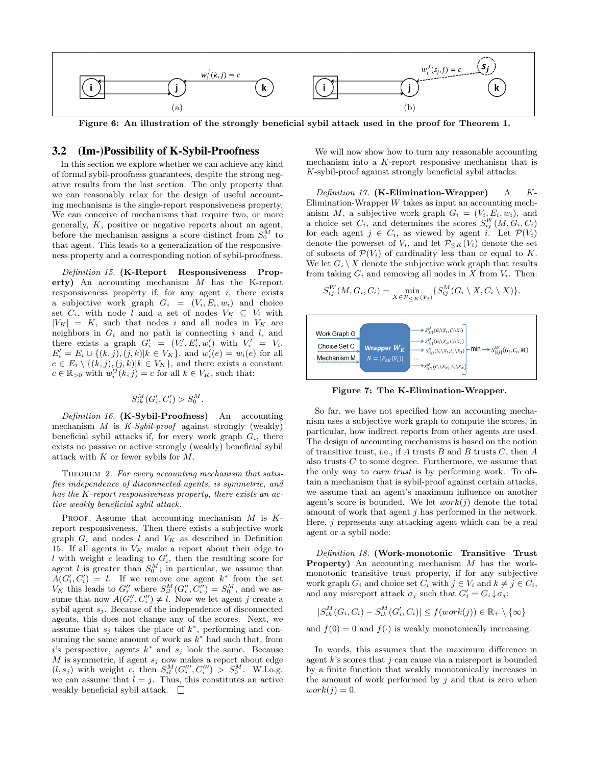

**Figure 6: An illustration of the strongly beneficial sybil attack used in the proof for Theorem 1.**

#### 3.2 (Im-)Possibility of K-Sybil-Proofness

In this section we explore whether we can achieve any kind of formal sybil-proofness guarantees, despite the strong negative results from the last section. The only property that we can reasonably relax for the design of useful accounting mechanisms is the single-report responsiveness property. We can conceive of mechanisms that require two, or more generally, *K*, positive or negative reports about an agent, before the mechanism assigns a score distinct from  $S_0^M$  to that agent. This leads to a generalization of the responsiveness property and a corresponding notion of sybil-proofness.

*Definition 15.* **(K-Report Responsiveness Property)** An accounting mechanism *M* has the K-report responsiveness property if, for any agent *i*, there exists a subjective work graph  $G_i = (V_i, E_i, w_i)$  and choice set  $C_i$ , with node *l* and a set of nodes  $V_K \subseteq V_i$  with  $|V_K| = K$ , such that nodes *i* and all nodes in  $V_K$  are neighbors in *G<sup>i</sup>* and no path is connecting *i* and *l*, and there exists a graph  $G'_{i} = (V'_{i}, E'_{i}, w'_{i})$  with  $V'_{i} = V_{i}$ ,  $E'_{i} = E_{i} \cup \{(k, j), (j, k)|k \in V_{K}\},$  and  $w'_{i}(e) = w_{i}(e)$  for all  $e \in E_i \setminus \{(k, j), (j, k)|k \in V_K\}$ , and there exists a constant  $c \in \mathbb{R}_{>0}$  with  $w_i'^j(k, j) = c$  for all  $k \in V_K$ , such that:

$$
S_{ik}^M(G'_i, C'_i) > S_0^M.
$$

*Definition 16.* **(K-Sybil-Proofness)** An accounting mechanism *M* is *K-Sybil-proof* against strongly (weakly) beneficial sybil attacks if, for every work graph  $G_i$ , there exists no passive or active strongly (weakly) beneficial sybil attack with *K* or fewer sybils for *M*.

THEOREM 2. For every accounting mechanism that satis*fies independence of disconnected agents, is symmetric, and has the K-report responsiveness property, there exists an active weakly beneficial sybil attack.*

Proof. Assume that accounting mechanism *M* is *K*report responsiveness. Then there exists a subjective work graph  $G_i$  and nodes  $l$  and  $V_K$  as described in Definition 15. If all agents in  $V_K$  make a report about their edge to *l* with weight *c* leading to  $G'$ , then the resulting score for agent *l* is greater than  $S_0^M$ ; in particular, we assume that  $A(G'_{i}, C'_{i}) = l$ . If we remove one agent  $k^*$  from the set *V<sub>K</sub>* this leads to  $G_i''$  where  $S_{il}^M(G_i'', C_i'') = S_0^M$ , and we assume that now  $A(G''_i, C''_i) \neq l$ . Now we let agent *j* create a sybil agent *s<sup>j</sup>* . Because of the independence of disconnected agents, this does not change any of the scores. Next, we assume that  $s_j$  takes the place of  $k^*$ , performing and consuming the same amount of work as *k <sup>∗</sup>* had such that, from *i*'s perspective, agents *k ∗* and *s<sup>j</sup>* look the same. Because *M* is symmetric, if agent  $s_j$  now makes a report about edge  $(l, s_j)$  with weight *c*, then  $S_{il}^M(G'''_i, C'''_i) > S_0^M$ . W.l.o.g. we can assume that  $l = j$ . Thus, this constitutes an active weakly beneficial sybil attack.  $\square$ 

We will now show how to turn any reasonable accounting mechanism into a *K*-report responsive mechanism that is *K*-sybil-proof against strongly beneficial sybil attacks:

*Definition 17.* **(K-Elimination-Wrapper)** A *K*-Elimination-Wrapper *W* takes as input an accounting mechanism *M*, a subjective work graph  $G_i = (V_i, E_i, w_i)$ , and a choice set  $C_i$ , and determines the scores  $S_{ij}^W(M, G_i, C_i)$ for each agent  $j \in C_i$ , as viewed by agent *i*. Let  $\mathcal{P}(V_i)$ denote the powerset of  $V_i$ , and let  $\mathcal{P}_{\leq K}(V_i)$  denote the set of subsets of  $\mathcal{P}(V_i)$  of cardinality less than or equal to *K*. We let  $G_i \setminus X$  denote the subjective work graph that results from taking  $G_i$  and removing all nodes in  $X$  from  $V_i$ . Then:

$$
S_{ij}^W(M, G_i, C_i) = \min_{X \in \mathcal{P}_{\leq K}(V_i)} \{ S_{ij}^M(G_i \setminus X, C_i \setminus X) \}.
$$



**Figure 7: The K-Elimination-Wrapper.**

So far, we have not specified how an accounting mechanism uses a subjective work graph to compute the scores, in particular, how indirect reports from other agents are used. The design of accounting mechanisms is based on the notion of transitive trust, i.e., if *A* trusts *B* and *B* trusts *C*, then *A* also trusts *C* to some degree. Furthermore, we assume that the only way to *earn trust* is by performing work. To obtain a mechanism that is sybil-proof against certain attacks, we assume that an agent's maximum influence on another agent's score is bounded. We let  $work(j)$  denote the total amount of work that agent *j* has performed in the network. Here, *j* represents any attacking agent which can be a real agent or a sybil node:

*Definition 18.* **(Work-monotonic Transitive Trust Property)** An accounting mechanism *M* has the workmonotonic transitive trust property, if for any subjective work graph  $G_i$  and choice set  $C_i$  with  $j \in V_i$  and  $k \neq j \in C_i$ , and any misreport attack  $\sigma_j$  such that  $G'_i = G_i \downarrow \sigma_j$ :

$$
|S_{ik}^M(G_i, C_i) - S_{ik}^M(G'_i, C_i)| \le f(work(j)) \in \mathbb{R}_+ \setminus \{\infty\}
$$

and  $f(0) = 0$  and  $f(\cdot)$  is weakly monotonically increasing.

In words, this assumes that the maximum difference in agent *k*'s scores that *j* can cause via a misreport is bounded by a finite function that weakly monotonically increases in the amount of work performed by *j* and that is zero when  $work(j) = 0.$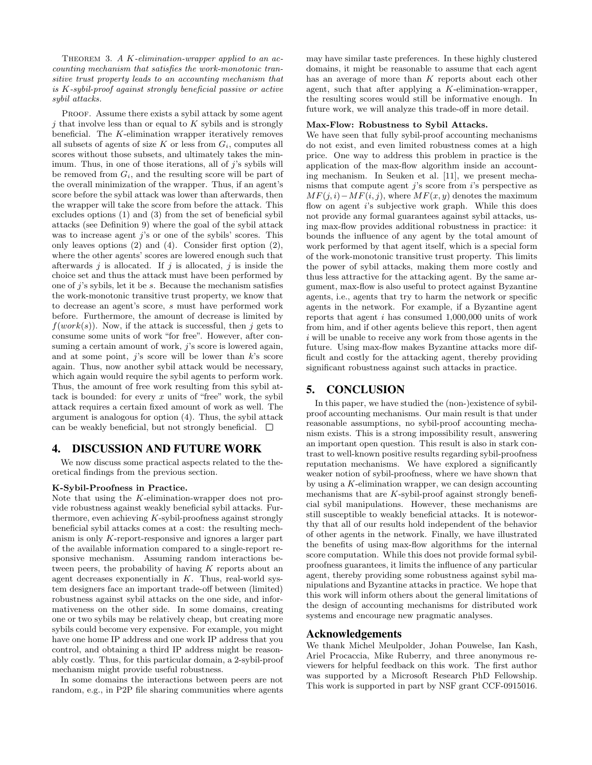Theorem 3. *A K-elimination-wrapper applied to an accounting mechanism that satisfies the work-monotonic transitive trust property leads to an accounting mechanism that is K-sybil-proof against strongly beneficial passive or active sybil attacks.*

PROOF. Assume there exists a sybil attack by some agent *j* that involve less than or equal to *K* sybils and is strongly beneficial. The *K*-elimination wrapper iteratively removes all subsets of agents of size  $K$  or less from  $G_i$ , computes all scores without those subsets, and ultimately takes the minimum. Thus, in one of those iterations, all of *j*'s sybils will be removed from  $G_i$ , and the resulting score will be part of the overall minimization of the wrapper. Thus, if an agent's score before the sybil attack was lower than afterwards, then the wrapper will take the score from before the attack. This excludes options (1) and (3) from the set of beneficial sybil attacks (see Definition 9) where the goal of the sybil attack was to increase agent *j*'s or one of the sybils' scores. This only leaves options (2) and (4). Consider first option (2), where the other agents' scores are lowered enough such that afterwards *j* is allocated. If *j* is allocated, *j* is inside the choice set and thus the attack must have been performed by one of *j*'s sybils, let it be *s*. Because the mechanism satisfies the work-monotonic transitive trust property, we know that to decrease an agent's score, *s* must have performed work before. Furthermore, the amount of decrease is limited by  $f(work(s))$ . Now, if the attack is successful, then *j* gets to consume some units of work "for free". However, after consuming a certain amount of work, *j*'s score is lowered again, and at some point, *j*'s score will be lower than *k*'s score again. Thus, now another sybil attack would be necessary, which again would require the sybil agents to perform work. Thus, the amount of free work resulting from this sybil attack is bounded: for every *x* units of "free" work, the sybil attack requires a certain fixed amount of work as well. The argument is analogous for option (4). Thus, the sybil attack can be weakly beneficial, but not strongly beneficial.  $\Box$ 

#### 4. DISCUSSION AND FUTURE WORK

We now discuss some practical aspects related to the theoretical findings from the previous section.

#### **K-Sybil-Proofness in Practice.**

Note that using the *K*-elimination-wrapper does not provide robustness against weakly beneficial sybil attacks. Furthermore, even achieving *K*-sybil-proofness against strongly beneficial sybil attacks comes at a cost: the resulting mechanism is only *K*-report-responsive and ignores a larger part of the available information compared to a single-report responsive mechanism. Assuming random interactions between peers, the probability of having *K* reports about an agent decreases exponentially in *K*. Thus, real-world system designers face an important trade-off between (limited) robustness against sybil attacks on the one side, and informativeness on the other side. In some domains, creating one or two sybils may be relatively cheap, but creating more sybils could become very expensive. For example, you might have one home IP address and one work IP address that you control, and obtaining a third IP address might be reasonably costly. Thus, for this particular domain, a 2-sybil-proof mechanism might provide useful robustness.

In some domains the interactions between peers are not random, e.g., in P2P file sharing communities where agents may have similar taste preferences. In these highly clustered domains, it might be reasonable to assume that each agent has an average of more than *K* reports about each other agent, such that after applying a *K*-elimination-wrapper, the resulting scores would still be informative enough. In future work, we will analyze this trade-off in more detail.

#### **Max-Flow: Robustness to Sybil Attacks.**

We have seen that fully sybil-proof accounting mechanisms do not exist, and even limited robustness comes at a high price. One way to address this problem in practice is the application of the max-flow algorithm inside an accounting mechanism. In Seuken et al. [11], we present mechanisms that compute agent *j*'s score from *i*'s perspective as  $MF(j, i) – MF(i, j)$ , where  $MF(x, y)$  denotes the maximum flow on agent *i*'s subjective work graph. While this does not provide any formal guarantees against sybil attacks, using max-flow provides additional robustness in practice: it bounds the influence of any agent by the total amount of work performed by that agent itself, which is a special form of the work-monotonic transitive trust property. This limits the power of sybil attacks, making them more costly and thus less attractive for the attacking agent. By the same argument, max-flow is also useful to protect against Byzantine agents, i.e., agents that try to harm the network or specific agents in the network. For example, if a Byzantine agent reports that agent *i* has consumed 1,000,000 units of work from him, and if other agents believe this report, then agent *i* will be unable to receive any work from those agents in the future. Using max-flow makes Byzantine attacks more difficult and costly for the attacking agent, thereby providing significant robustness against such attacks in practice.

## 5. CONCLUSION

In this paper, we have studied the (non-)existence of sybilproof accounting mechanisms. Our main result is that under reasonable assumptions, no sybil-proof accounting mechanism exists. This is a strong impossibility result, answering an important open question. This result is also in stark contrast to well-known positive results regarding sybil-proofness reputation mechanisms. We have explored a significantly weaker notion of sybil-proofness, where we have shown that by using a *K*-elimination wrapper, we can design accounting mechanisms that are *K*-sybil-proof against strongly beneficial sybil manipulations. However, these mechanisms are still susceptible to weakly beneficial attacks. It is noteworthy that all of our results hold independent of the behavior of other agents in the network. Finally, we have illustrated the benefits of using max-flow algorithms for the internal score computation. While this does not provide formal sybilproofness guarantees, it limits the influence of any particular agent, thereby providing some robustness against sybil manipulations and Byzantine attacks in practice. We hope that this work will inform others about the general limitations of the design of accounting mechanisms for distributed work systems and encourage new pragmatic analyses.

#### Acknowledgements

We thank Michel Meulpolder, Johan Pouwelse, Ian Kash, Ariel Procaccia, Mike Ruberry, and three anonymous reviewers for helpful feedback on this work. The first author was supported by a Microsoft Research PhD Fellowship. This work is supported in part by NSF grant CCF-0915016.